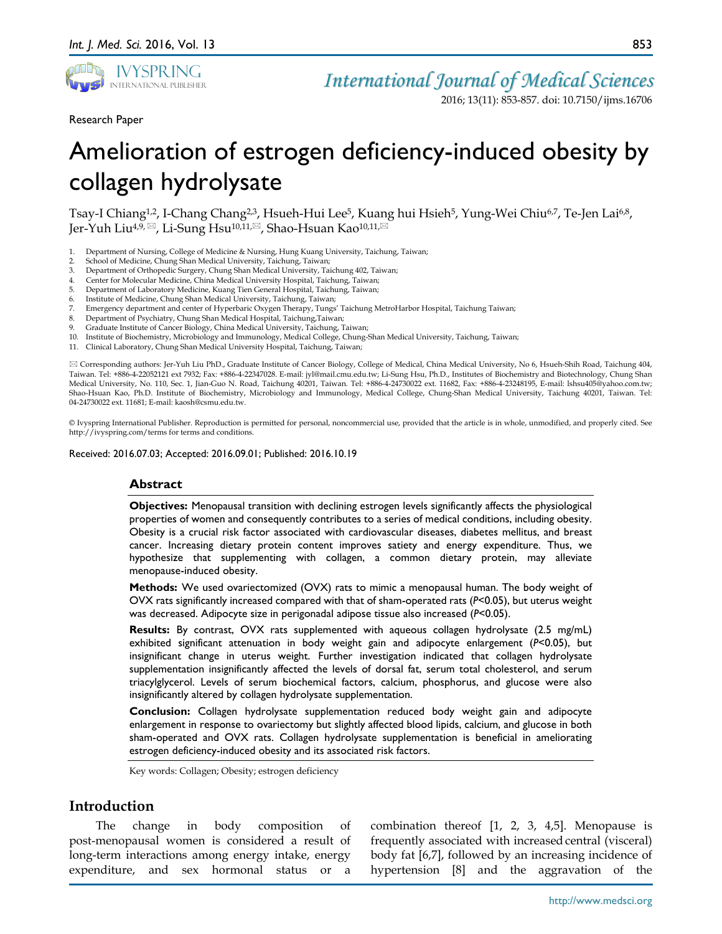

*International Journal of Medical Sciences*

2016; 13(11): 853-857. doi: 10.7150/ijms.16706

Research Paper

Amelioration of estrogen deficiency-induced obesity by collagen hydrolysate

Tsay-I Chiang<sup>1,2</sup>, I-Chang Chang<sup>2,3</sup>, Hsueh-Hui Lee<sup>5</sup>, Kuang hui Hsieh<sup>5</sup>, Yung-Wei Chiu<sup>6,7</sup>, Te-Jen Lai<sup>6,8</sup>, Jer-Yuh Liu<sup>4,9, ⊠</sup>, Li-Sung Hsu<sup>10,11,⊠</sup>, Shao-Hsuan Kao<sup>10,11,⊠</sup>

- 1. Department of Nursing, College of Medicine & Nursing, Hung Kuang University, Taichung, Taiwan;
- 2. School of Medicine, Chung Shan Medical University, Taichung, Taiwan;
- 3. Department of Orthopedic Surgery, Chung Shan Medical University, Taichung 402, Taiwan;
- 4. Center for Molecular Medicine, China Medical University Hospital, Taichung, Taiwan;
- 5. Department of Laboratory Medicine, Kuang Tien General Hospital, Taichung, Taiwan;
- Institute of Medicine, Chung Shan Medical University, Taichung, Taiwan;
- 7. Emergency department and center of Hyperbaric Oxygen Therapy, Tungs' Taichung MetroHarbor Hospital, Taichung Taiwan;<br>8. Department of Psychiatry, Chung Shan Medical Hospital, Taichung Taiwan;
- Department of Psychiatry, Chung Shan Medical Hospital, Taichung,Taiwan;
- 9. Graduate Institute of Cancer Biology, China Medical University, Taichung, Taiwan;
- 10. Institute of Biochemistry, Microbiology and Immunology, Medical College, Chung-Shan Medical University, Taichung, Taiwan;
- 11. Clinical Laboratory, Chung Shan Medical University Hospital, Taichung, Taiwan;

 Corresponding authors: Jer-Yuh Liu PhD., Graduate Institute of Cancer Biology, College of Medical, China Medical University, No 6, Hsueh-Shih Road, Taichung 404, Taiwan. Tel: +886-4-22052121 ext 7932; Fax: +886-4-22347028. E-mail: jyl@mail.cmu.edu.tw; Li-Sung Hsu, Ph.D., Institutes of Biochemistry and Biotechnology, Chung Shan Medical University, No. 110, Sec. 1, Jian-Guo N. Road, Taichung 40201, Taiwan. Tel: +886-4-24730022 ext. 11682, Fax: +886-4-23248195, E-mail: lshsu405@yahoo.com.tw; Shao-Hsuan Kao, Ph.D. Institute of Biochemistry, Microbiology and Immunology, Medical College, Chung-Shan Medical University, Taichung 40201, Taiwan. Tel: 04-24730022 ext. 11681; E-mail: kaosh@csmu.edu.tw.

© Ivyspring International Publisher. Reproduction is permitted for personal, noncommercial use, provided that the article is in whole, unmodified, and properly cited. See http://ivyspring.com/terms for terms and conditions.

Received: 2016.07.03; Accepted: 2016.09.01; Published: 2016.10.19

#### **Abstract**

**Objectives:** Menopausal transition with declining estrogen levels significantly affects the physiological properties of women and consequently contributes to a series of medical conditions, including obesity. Obesity is a crucial risk factor associated with cardiovascular diseases, diabetes mellitus, and breast cancer. Increasing dietary protein content improves satiety and energy expenditure. Thus, we hypothesize that supplementing with collagen, a common dietary protein, may alleviate menopause-induced obesity.

**Methods:** We used ovariectomized (OVX) rats to mimic a menopausal human. The body weight of OVX rats significantly increased compared with that of sham-operated rats (*P*<0.05), but uterus weight was decreased. Adipocyte size in perigonadal adipose tissue also increased (*P*<0.05).

**Results:** By contrast, OVX rats supplemented with aqueous collagen hydrolysate (2.5 mg/mL) exhibited significant attenuation in body weight gain and adipocyte enlargement (*P*<0.05), but insignificant change in uterus weight. Further investigation indicated that collagen hydrolysate supplementation insignificantly affected the levels of dorsal fat, serum total cholesterol, and serum triacylglycerol. Levels of serum biochemical factors, calcium, phosphorus, and glucose were also insignificantly altered by collagen hydrolysate supplementation.

**Conclusion:** Collagen hydrolysate supplementation reduced body weight gain and adipocyte enlargement in response to ovariectomy but slightly affected blood lipids, calcium, and glucose in both sham-operated and OVX rats. Collagen hydrolysate supplementation is beneficial in ameliorating estrogen deficiency-induced obesity and its associated risk factors.

Key words: Collagen; Obesity; estrogen deficiency

### **Introduction**

The change in body composition of post-menopausal women is considered a result of long-term interactions among energy intake, energy expenditure, and sex hormonal status or

combination thereof [1, 2, 3, 4,5]. Menopause is frequently associated with increased central (visceral) body fat [6,7], followed by an increasing incidence of hypertension [8] and the aggravation of the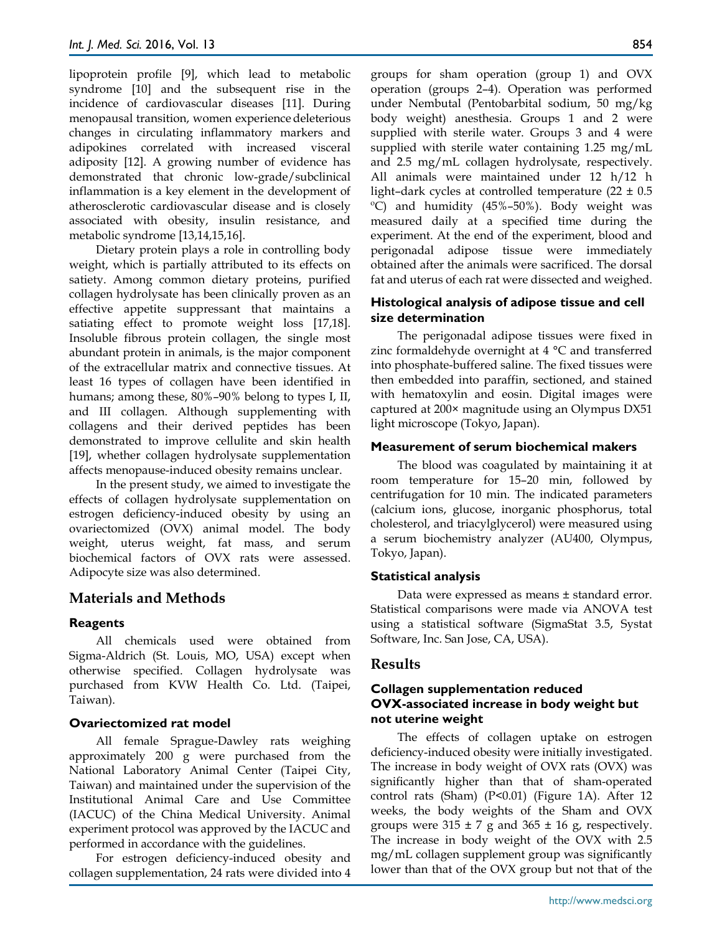lipoprotein profile [9], which lead to metabolic syndrome [10] and the subsequent rise in the incidence of cardiovascular diseases [11]. During menopausal transition, women experience deleterious changes in circulating inflammatory markers and adipokines correlated with increased visceral adiposity [12]. A growing number of evidence has demonstrated that chronic low-grade/subclinical inflammation is a key element in the development of atherosclerotic cardiovascular disease and is closely associated with obesity, insulin resistance, and metabolic syndrome [13,14,15,16].

Dietary protein plays a role in controlling body weight, which is partially attributed to its effects on satiety. Among common dietary proteins, purified collagen hydrolysate has been clinically proven as an effective appetite suppressant that maintains a satiating effect to promote weight loss [17,18]. Insoluble fibrous protein collagen, the single most abundant protein in animals, is the major component of the extracellular matrix and connective tissues. At least 16 types of collagen have been identified in humans; among these, 80%–90% belong to types I, II, and III collagen. Although supplementing with collagens and their derived peptides has been demonstrated to improve cellulite and skin health [19], whether collagen hydrolysate supplementation affects menopause-induced obesity remains unclear.

In the present study, we aimed to investigate the effects of collagen hydrolysate supplementation on estrogen deficiency-induced obesity by using an ovariectomized (OVX) animal model. The body weight, uterus weight, fat mass, and serum biochemical factors of OVX rats were assessed. Adipocyte size was also determined.

# **Materials and Methods**

### **Reagents**

All chemicals used were obtained from Sigma-Aldrich (St. Louis, MO, USA) except when otherwise specified. Collagen hydrolysate was purchased from KVW Health Co. Ltd. (Taipei, Taiwan).

### **Ovariectomized rat model**

All female Sprague-Dawley rats weighing approximately 200 g were purchased from the National Laboratory Animal Center (Taipei City, Taiwan) and maintained under the supervision of the Institutional Animal Care and Use Committee (IACUC) of the China Medical University. Animal experiment protocol was approved by the IACUC and performed in accordance with the guidelines.

For estrogen deficiency-induced obesity and collagen supplementation, 24 rats were divided into 4

groups for sham operation (group 1) and OVX operation (groups 2–4). Operation was performed under Nembutal (Pentobarbital sodium, 50 mg/kg body weight) anesthesia. Groups 1 and 2 were supplied with sterile water. Groups 3 and 4 were supplied with sterile water containing 1.25 mg/mL and 2.5 mg/mL collagen hydrolysate, respectively. All animals were maintained under 12 h/12 h light–dark cycles at controlled temperature  $(22 \pm 0.5)$ ºC) and humidity (45%–50%). Body weight was measured daily at a specified time during the experiment. At the end of the experiment, blood and perigonadal adipose tissue were immediately obtained after the animals were sacrificed. The dorsal fat and uterus of each rat were dissected and weighed.

## **Histological analysis of adipose tissue and cell size determination**

The perigonadal adipose tissues were fixed in zinc formaldehyde overnight at 4 °C and transferred into phosphate-buffered saline. The fixed tissues were then embedded into paraffin, sectioned, and stained with hematoxylin and eosin. Digital images were captured at 200× magnitude using an Olympus DX51 light microscope (Tokyo, Japan).

### **Measurement of serum biochemical makers**

The blood was coagulated by maintaining it at room temperature for 15–20 min, followed by centrifugation for 10 min. The indicated parameters (calcium ions, glucose, inorganic phosphorus, total cholesterol, and triacylglycerol) were measured using a serum biochemistry analyzer (AU400, Olympus, Tokyo, Japan).

### **Statistical analysis**

Data were expressed as means ± standard error. Statistical comparisons were made via ANOVA test using a statistical software (SigmaStat 3.5, Systat Software, Inc. San Jose, CA, USA).

## **Results**

### **Collagen supplementation reduced OVX-associated increase in body weight but not uterine weight**

The effects of collagen uptake on estrogen deficiency-induced obesity were initially investigated. The increase in body weight of OVX rats (OVX) was significantly higher than that of sham-operated control rats (Sham) (P<0.01) (Figure 1A). After 12 weeks, the body weights of the Sham and OVX groups were  $315 \pm 7$  g and  $365 \pm 16$  g, respectively. The increase in body weight of the OVX with 2.5 mg/mL collagen supplement group was significantly lower than that of the OVX group but not that of the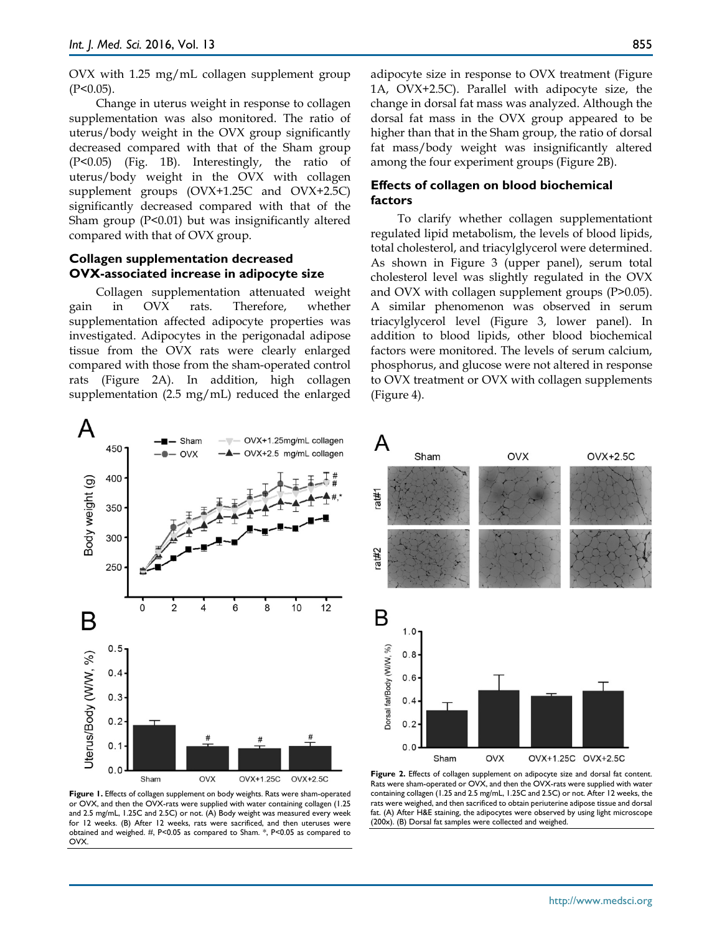OVX with 1.25 mg/mL collagen supplement group  $(P<0.05)$ .

Change in uterus weight in response to collagen supplementation was also monitored. The ratio of uterus/body weight in the OVX group significantly decreased compared with that of the Sham group (P<0.05) (Fig. 1B). Interestingly, the ratio of uterus/body weight in the OVX with collagen supplement groups (OVX+1.25C and OVX+2.5C) significantly decreased compared with that of the Sham group (P<0.01) but was insignificantly altered compared with that of OVX group.

#### **Collagen supplementation decreased OVX-associated increase in adipocyte size**

Collagen supplementation attenuated weight gain in OVX rats. Therefore, whether supplementation affected adipocyte properties was investigated. Adipocytes in the perigonadal adipose tissue from the OVX rats were clearly enlarged compared with those from the sham-operated control rats (Figure 2A). In addition, high collagen supplementation (2.5 mg/mL) reduced the enlarged

A OVX+1.25mg/mL collagen Sham 450 OVX+2.5 mg/mL collagen  $O<sub>Y</sub>$ 400 Body weight (g) 350 300 250  $\overline{2}$ 6 8  $10$  $12$  $\Omega$ 4 Β  $0.5$ Uterus/Body (W/W, %)  $0.4$  $0.3$  $0.2$  $0.1$  $0.0$ Sham OVX OVX+1.25C OVX+2.5C

adipocyte size in response to OVX treatment (Figure 1A, OVX+2.5C). Parallel with adipocyte size, the change in dorsal fat mass was analyzed. Although the dorsal fat mass in the OVX group appeared to be higher than that in the Sham group, the ratio of dorsal fat mass/body weight was insignificantly altered among the four experiment groups (Figure 2B).

#### **Effects of collagen on blood biochemical factors**

To clarify whether collagen supplementationt regulated lipid metabolism, the levels of blood lipids, total cholesterol, and triacylglycerol were determined. As shown in Figure 3 (upper panel), serum total cholesterol level was slightly regulated in the OVX and OVX with collagen supplement groups (P>0.05). A similar phenomenon was observed in serum triacylglycerol level (Figure 3, lower panel). In addition to blood lipids, other blood biochemical factors were monitored. The levels of serum calcium, phosphorus, and glucose were not altered in response to OVX treatment or OVX with collagen supplements (Figure 4).



**Figure 1.** Effects of collagen supplement on body weights. Rats were sham-operated or OVX, and then the OVX-rats were supplied with water containing collagen (1.25 and 2.5 mg/mL, 1.25C and 2.5C) or not. (A) Body weight was measured every week for 12 weeks. (B) After 12 weeks, rats were sacrificed, and then uteruses were obtained and weighed. #, P<0.05 as compared to Sham. \*, P<0.05 as compared to OVX.

**Figure 2.** Effects of collagen supplement on adipocyte size and dorsal fat content. Rats were sham-operated or OVX, and then the OVX-rats were supplied with water containing collagen (1.25 and 2.5 mg/mL, 1.25C and 2.5C) or not. After 12 weeks, the rats were weighed, and then sacrificed to obtain periuterine adipose tissue and dorsal fat. (A) After H&E staining, the adipocytes were observed by using light microscope (200x). (B) Dorsal fat samples were collected and weighed.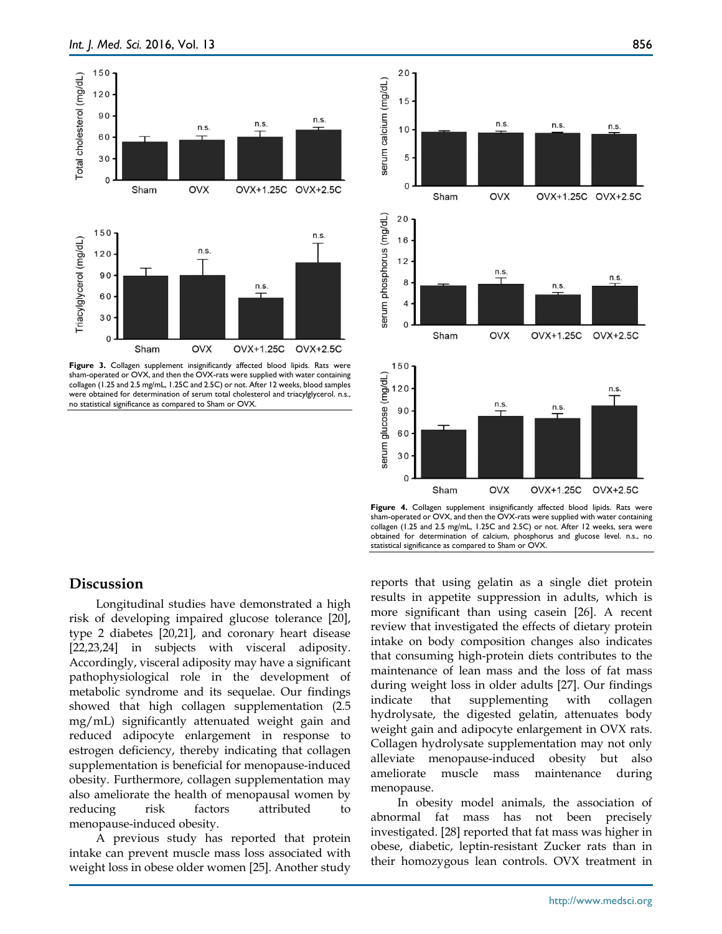

Figure 3. Collagen supplement insignificantly affected blood lipids. Rats were sham-operated or OVX, and then the OVX-rats were supplied with water containing collagen (1.25 and 2.5 mg/mL, 1.25C and 2.5C) or not. After 12 weeks, blood samples were obtained for determination of serum total cholesterol and triacylglycerol. n.s., no statistical significance as compared to Sham or OVX.



Figure 4. Collagen supplement insignificantly affected blood lipids. Rats were sham-operated or OVX, and then the OVX-rats were supplied with water containing collagen (1.25 and 2.5 mg/mL, 1.25C and 2.5C) or not. After 12 weeks, sera were obtained for determination of calcium, phosphorus and glucose level. n.s., no statistical significance as compared to Sham or OVX.

### **Discussion**

Longitudinal studies have demonstrated a high risk of developing impaired glucose tolerance [20], type 2 diabetes [20,21], and coronary heart disease [22,23,24] in subjects with visceral adiposity. Accordingly, visceral adiposity may have a significant pathophysiological role in the development of metabolic syndrome and its sequelae. Our findings showed that high collagen supplementation (2.5 mg/mL) significantly attenuated weight gain and reduced adipocyte enlargement in response to estrogen deficiency, thereby indicating that collagen supplementation is beneficial for menopause-induced obesity. Furthermore, collagen supplementation may also ameliorate the health of menopausal women by reducing risk factors attributed menopause-induced obesity.

A previous study has reported that protein intake can prevent muscle mass loss associated with weight loss in obese older women [25]. Another study reports that using gelatin as a single diet protein results in appetite suppression in adults, which is more significant than using casein [26]. A recent review that investigated the effects of dietary protein intake on body composition changes also indicates that consuming high-protein diets contributes to the maintenance of lean mass and the loss of fat mass during weight loss in older adults [27]. Our findings indicate that supplementing with collagen hydrolysate, the digested gelatin, attenuates body weight gain and adipocyte enlargement in OVX rats. Collagen hydrolysate supplementation may not only alleviate menopause-induced obesity but also ameliorate muscle mass maintenance during menopause.

In obesity model animals, the association of abnormal fat mass has not been precisely investigated. [28] reported that fat mass was higher in obese, diabetic, leptin-resistant Zucker rats than in their homozygous lean controls. OVX treatment in